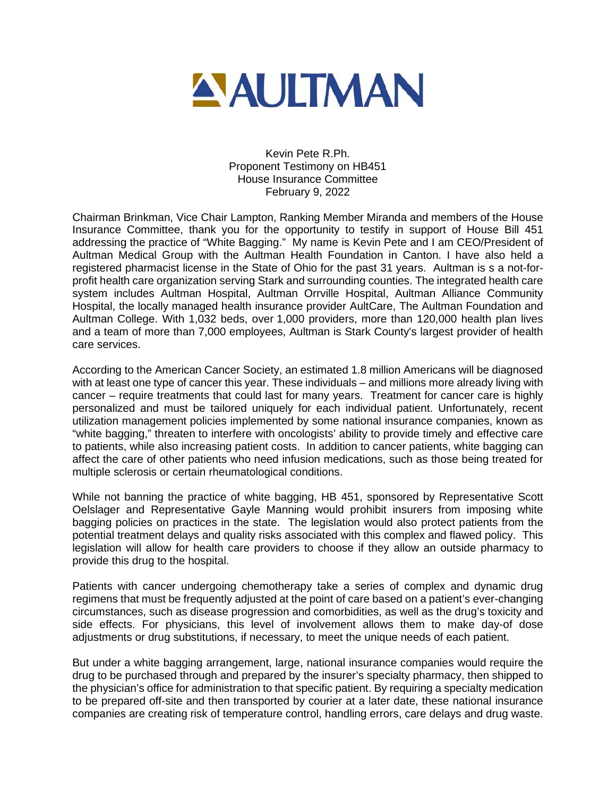

Kevin Pete R.Ph. Proponent Testimony on HB451 House Insurance Committee February 9, 2022

Chairman Brinkman, Vice Chair Lampton, Ranking Member Miranda and members of the House Insurance Committee, thank you for the opportunity to testify in support of House Bill 451 addressing the practice of "White Bagging." My name is Kevin Pete and I am CEO/President of Aultman Medical Group with the Aultman Health Foundation in Canton. I have also held a registered pharmacist license in the State of Ohio for the past 31 years. Aultman is s a not-forprofit health care organization serving Stark and surrounding counties. The integrated health care system includes Aultman Hospital, Aultman Orrville Hospital, Aultman Alliance Community Hospital, the locally managed health insurance provider AultCare, The Aultman Foundation and Aultman College. With 1,032 beds, over 1,000 providers, more than 120,000 health plan lives and a team of more than 7,000 employees, Aultman is Stark County's largest provider of health care services.

According to the American Cancer Society, an estimated 1.8 million Americans will be diagnosed with at least one type of cancer this year. These individuals – and millions more already living with cancer – require treatments that could last for many years. Treatment for cancer care is highly personalized and must be tailored uniquely for each individual patient. Unfortunately, recent utilization management policies implemented by some national insurance companies, known as "white bagging," threaten to interfere with oncologists' ability to provide timely and effective care to patients, while also increasing patient costs. In addition to cancer patients, white bagging can affect the care of other patients who need infusion medications, such as those being treated for multiple sclerosis or certain rheumatological conditions.

While not banning the practice of white bagging, HB 451, sponsored by Representative Scott Oelslager and Representative Gayle Manning would prohibit insurers from imposing white bagging policies on practices in the state. The legislation would also protect patients from the potential treatment delays and quality risks associated with this complex and flawed policy. This legislation will allow for health care providers to choose if they allow an outside pharmacy to provide this drug to the hospital.

Patients with cancer undergoing chemotherapy take a series of complex and dynamic drug regimens that must be frequently adjusted at the point of care based on a patient's ever-changing circumstances, such as disease progression and comorbidities, as well as the drug's toxicity and side effects. For physicians, this level of involvement allows them to make day-of dose adjustments or drug substitutions, if necessary, to meet the unique needs of each patient.

But under a white bagging arrangement, large, national insurance companies would require the drug to be purchased through and prepared by the insurer's specialty pharmacy, then shipped to the physician's office for administration to that specific patient. By requiring a specialty medication to be prepared off-site and then transported by courier at a later date, these national insurance companies are creating risk of temperature control, handling errors, care delays and drug waste.